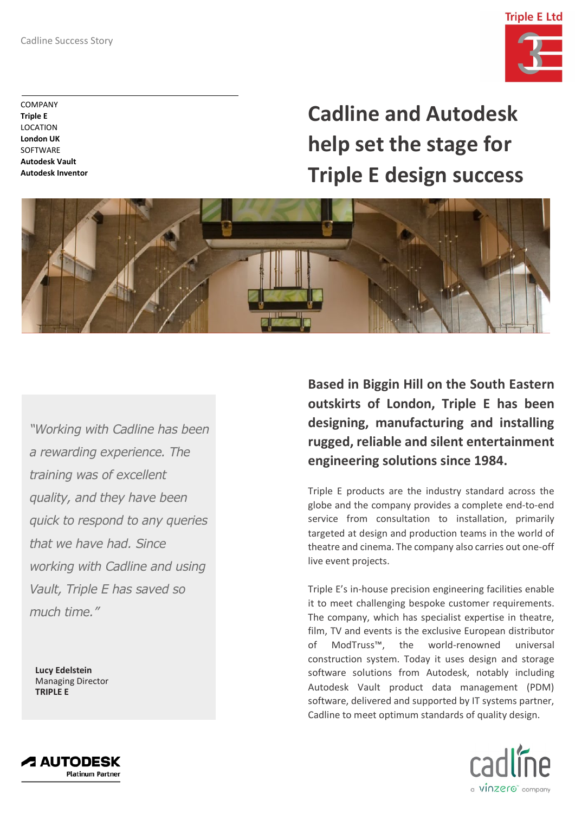

COMPANY **Triple E** LOCATION **London UK SOFTWARE Autodesk Vault Autodesk Inventor**

**Cadline and Autodesk help set the stage for Triple E design success**



*"Working with Cadline has been a rewarding experience. The training was of excellent quality, and they have been quick to respond to any queries that we have had. Since working with Cadline and using Vault, Triple E has saved so much time."*

**Lucy Edelstein** Managing Director **TRIPLE E**

**Based in Biggin Hill on the South Eastern outskirts of London, Triple E has been designing, manufacturing and installing rugged, reliable and silent entertainment engineering solutions since 1984.**

Triple E products are the industry standard across the globe and the company provides a complete end-to-end service from consultation to installation, primarily targeted at design and production teams in the world of theatre and cinema. The company also carries out one-off live event projects.

Triple E's in-house precision engineering facilities enable it to meet challenging bespoke customer requirements. The company, which has specialist expertise in theatre, film, TV and events is the exclusive European distributor of ModTruss™, the world-renowned universal construction system. Today it uses design and storage software solutions from Autodesk, notably including Autodesk Vault product data management (PDM) software, delivered and supported by IT systems partner, Cadline to meet optimum standards of quality design.



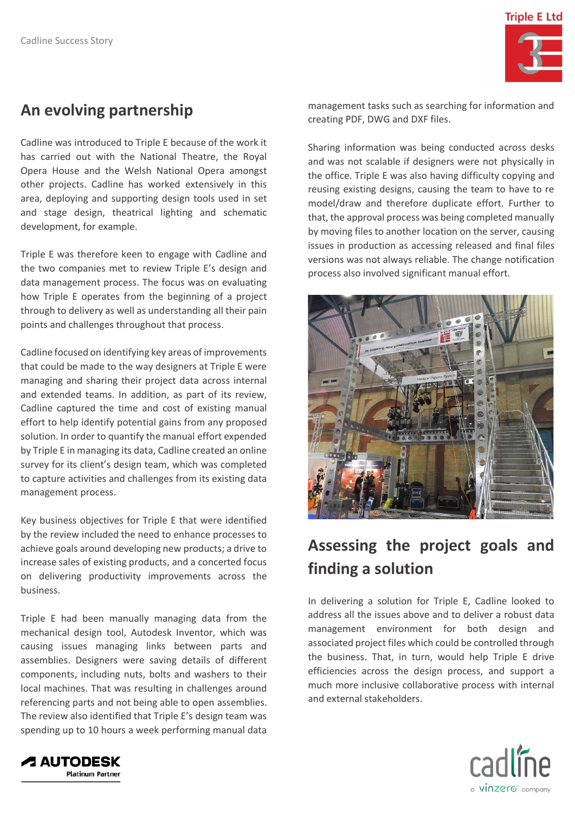

## **An evolving partnership**

Cadline was introduced to Triple E because of the work it has carried out with the National Theatre, the Royal Opera House and the Welsh National Opera amongst other projects. Cadline has worked extensively in this area, deploying and supporting design tools used in set and stage design, theatrical lighting and schematic development, for example.

Triple E was therefore keen to engage with Cadline and the two companies met to review Triple E's design and data management process. The focus was on evaluating how Triple E operates from the beginning of a project through to delivery as well as understanding all their pain points and challenges throughout that process.

Cadline focused on identifying key areas of improvements that could be made to the way designers at Triple E were managing and sharing their project data across internal and extended teams. In addition, as part of its review, Cadline captured the time and cost of existing manual effort to help identify potential gains from any proposed solution. In order to quantify the manual effort expended by Triple E in managing its data, Cadline created an online survey for its client's design team, which was completed to capture activities and challenges from its existing data management process.

Key business objectives for Triple E that were identified by the review included the need to enhance processes to achieve goals around developing new products; a drive to increase sales of existing products, and a concerted focus on delivering productivity improvements across the business.

Triple E had been manually managing data from the mechanical design tool, Autodesk Inventor, which was causing issues managing links between parts and assemblies. Designers were saving details of different components, including nuts, bolts and washers to their local machines. That was resulting in challenges around referencing parts and not being able to open assemblies. The review also identified that Triple E's design team was spending up to 10 hours a week performing manual data

management tasks such as searching for information and creating PDF, DWG and DXF files.

Sharing information was being conducted across desks and was not scalable if designers were not physically in the office. Triple E was also having difficulty copying and reusing existing designs, causing the team to have to re model/draw and therefore duplicate effort. Further to that, the approval process was being completed manually by moving files to another location on the server, causing issues in production as accessing released and final files versions was not always reliable. The change notification process also involved significant manual effort.



## **Assessing the project goals and finding a solution**

In delivering a solution for Triple E, Cadline looked to address all the issues above and to deliver a robust data management environment for both design and associated project files which could be controlled through the business. That, in turn, would help Triple E drive efficiencies across the design process, and support a much more inclusive collaborative process with internal and external stakeholders.